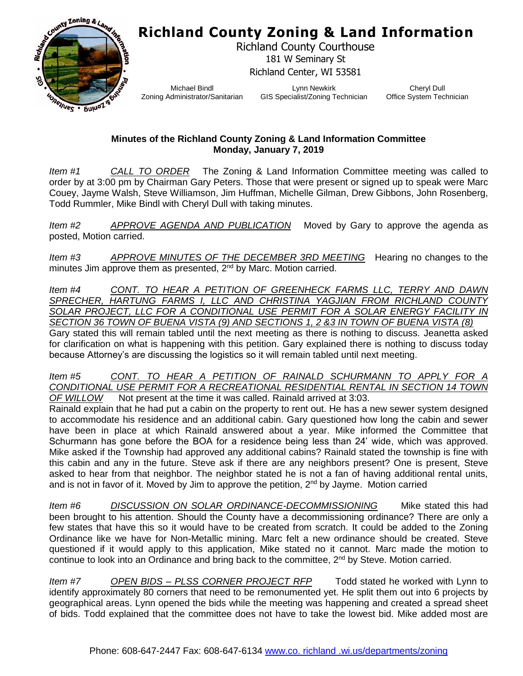## **Richland County Zoning & Land Information**



Richland County Courthouse 181 W Seminary St Richland Center, WI 53581

Michael Bindl Zoning Administrator/Sanitarian

Lynn Newkirk GIS Specialist/Zoning Technician

Cheryl Dull Office System Technician

## **Minutes of the Richland County Zoning & Land Information Committee Monday, January 7, 2019**

*Item #1 CALL TO ORDER* The Zoning & Land Information Committee meeting was called to order by at 3:00 pm by Chairman Gary Peters. Those that were present or signed up to speak were Marc Couey, Jayme Walsh, Steve Williamson, Jim Huffman, Michelle Gilman, Drew Gibbons, John Rosenberg, Todd Rummler, Mike Bindl with Cheryl Dull with taking minutes.

*Item #2 APPROVE AGENDA AND PUBLICATION* Moved by Gary to approve the agenda as posted, Motion carried.

*Item #3 APPROVE MINUTES OF THE DECEMBER 3RD MEETING* Hearing no changes to the minutes Jim approve them as presented,  $2<sup>nd</sup>$  by Marc. Motion carried.

*Item #4 CONT. TO HEAR A PETITION OF GREENHECK FARMS LLC, TERRY AND DAWN SPRECHER, HARTUNG FARMS I, LLC AND CHRISTINA YAGJIAN FROM RICHLAND COUNTY SOLAR PROJECT, LLC FOR A CONDITIONAL USE PERMIT FOR A SOLAR ENERGY FACILITY IN SECTION 36 TOWN OF BUENA VISTA (9) AND SECTIONS 1, 2 &3 IN TOWN OF BUENA VISTA (8)*

Gary stated this will remain tabled until the next meeting as there is nothing to discuss. Jeanetta asked for clarification on what is happening with this petition. Gary explained there is nothing to discuss today because Attorney's are discussing the logistics so it will remain tabled until next meeting.

*Item #5 CONT. TO HEAR A PETITION OF RAINALD SCHURMANN TO APPLY FOR A CONDITIONAL USE PERMIT FOR A RECREATIONAL RESIDENTIAL RENTAL IN SECTION 14 TOWN OF WILLOW* Not present at the time it was called. Rainald arrived at 3:03.

Rainald explain that he had put a cabin on the property to rent out. He has a new sewer system designed to accommodate his residence and an additional cabin. Gary questioned how long the cabin and sewer have been in place at which Rainald answered about a year. Mike informed the Committee that Schurmann has gone before the BOA for a residence being less than 24' wide, which was approved. Mike asked if the Township had approved any additional cabins? Rainald stated the township is fine with this cabin and any in the future. Steve ask if there are any neighbors present? One is present, Steve asked to hear from that neighbor. The neighbor stated he is not a fan of having additional rental units, and is not in favor of it. Moved by Jim to approve the petition,  $2<sup>nd</sup>$  by Jayme. Motion carried

*Item #6 DISCUSSION ON SOLAR ORDINANCE-DECOMMISSIONING* Mike stated this had been brought to his attention. Should the County have a decommissioning ordinance? There are only a few states that have this so it would have to be created from scratch. It could be added to the Zoning Ordinance like we have for Non-Metallic mining. Marc felt a new ordinance should be created. Steve questioned if it would apply to this application, Mike stated no it cannot. Marc made the motion to continue to look into an Ordinance and bring back to the committee, 2<sup>nd</sup> by Steve. Motion carried.

*Item #7 OPEN BIDS – PLSS CORNER PROJECT RFP* Todd stated he worked with Lynn to identify approximately 80 corners that need to be remonumented yet. He split them out into 6 projects by geographical areas. Lynn opened the bids while the meeting was happening and created a spread sheet of bids. Todd explained that the committee does not have to take the lowest bid. Mike added most are